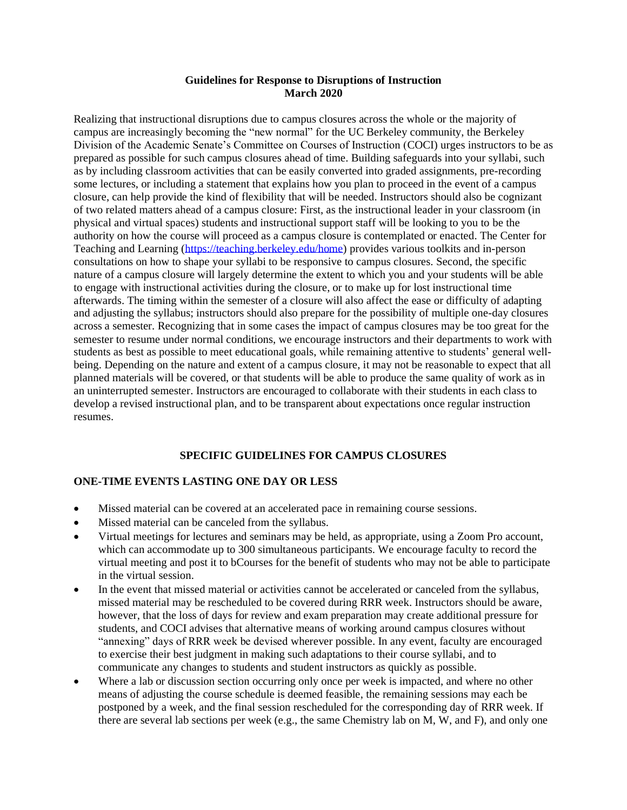#### **Guidelines for Response to Disruptions of Instruction March 2020**

Realizing that instructional disruptions due to campus closures across the whole or the majority of campus are increasingly becoming the "new normal" for the UC Berkeley community, the Berkeley Division of the Academic Senate's Committee on Courses of Instruction (COCI) urges instructors to be as prepared as possible for such campus closures ahead of time. Building safeguards into your syllabi, such as by including classroom activities that can be easily converted into graded assignments, pre-recording some lectures, or including a statement that explains how you plan to proceed in the event of a campus closure, can help provide the kind of flexibility that will be needed. Instructors should also be cognizant of two related matters ahead of a campus closure: First, as the instructional leader in your classroom (in physical and virtual spaces) students and instructional support staff will be looking to you to be the authority on how the course will proceed as a campus closure is contemplated or enacted. The Center for Teaching and Learning [\(https://teaching.berkeley.edu/home\)](https://teaching.berkeley.edu/home) provides various toolkits and in-person consultations on how to shape your syllabi to be responsive to campus closures. Second, the specific nature of a campus closure will largely determine the extent to which you and your students will be able to engage with instructional activities during the closure, or to make up for lost instructional time afterwards. The timing within the semester of a closure will also affect the ease or difficulty of adapting and adjusting the syllabus; instructors should also prepare for the possibility of multiple one-day closures across a semester. Recognizing that in some cases the impact of campus closures may be too great for the semester to resume under normal conditions, we encourage instructors and their departments to work with students as best as possible to meet educational goals, while remaining attentive to students' general wellbeing. Depending on the nature and extent of a campus closure, it may not be reasonable to expect that all planned materials will be covered, or that students will be able to produce the same quality of work as in an uninterrupted semester. Instructors are encouraged to collaborate with their students in each class to develop a revised instructional plan, and to be transparent about expectations once regular instruction resumes.

# **SPECIFIC GUIDELINES FOR CAMPUS CLOSURES**

### **ONE-TIME EVENTS LASTING ONE DAY OR LESS**

- Missed material can be covered at an accelerated pace in remaining course sessions.
- Missed material can be canceled from the syllabus.
- Virtual meetings for lectures and seminars may be held, as appropriate, using a Zoom Pro account, which can accommodate up to 300 simultaneous participants. We encourage faculty to record the virtual meeting and post it to bCourses for the benefit of students who may not be able to participate in the virtual session.
- In the event that missed material or activities cannot be accelerated or canceled from the syllabus, missed material may be rescheduled to be covered during RRR week. Instructors should be aware, however, that the loss of days for review and exam preparation may create additional pressure for students, and COCI advises that alternative means of working around campus closures without "annexing" days of RRR week be devised wherever possible. In any event, faculty are encouraged to exercise their best judgment in making such adaptations to their course syllabi, and to communicate any changes to students and student instructors as quickly as possible.
- Where a lab or discussion section occurring only once per week is impacted, and where no other means of adjusting the course schedule is deemed feasible, the remaining sessions may each be postponed by a week, and the final session rescheduled for the corresponding day of RRR week. If there are several lab sections per week (e.g., the same Chemistry lab on M, W, and F), and only one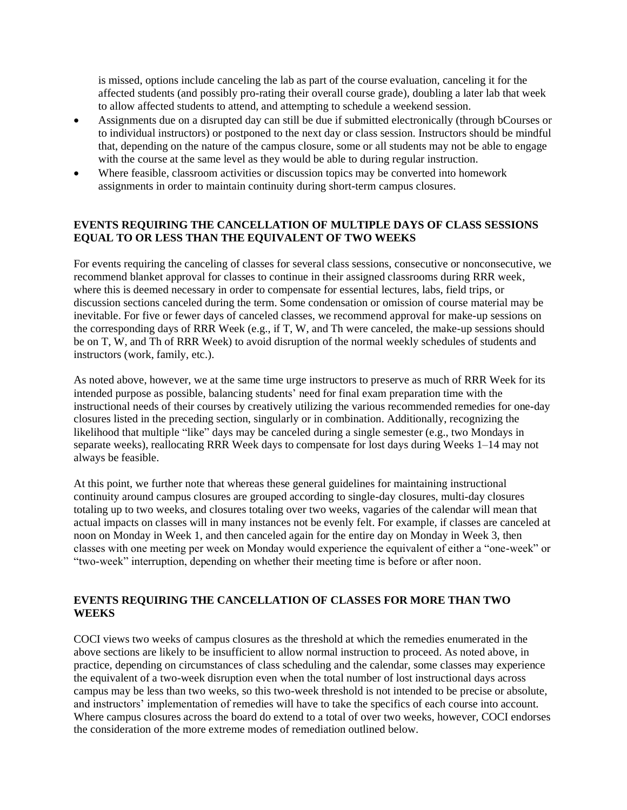is missed, options include canceling the lab as part of the course evaluation, canceling it for the affected students (and possibly pro-rating their overall course grade), doubling a later lab that week to allow affected students to attend, and attempting to schedule a weekend session.

- Assignments due on a disrupted day can still be due if submitted electronically (through bCourses or to individual instructors) or postponed to the next day or class session. Instructors should be mindful that, depending on the nature of the campus closure, some or all students may not be able to engage with the course at the same level as they would be able to during regular instruction.
- Where feasible, classroom activities or discussion topics may be converted into homework assignments in order to maintain continuity during short-term campus closures.

## **EVENTS REQUIRING THE CANCELLATION OF MULTIPLE DAYS OF CLASS SESSIONS EQUAL TO OR LESS THAN THE EQUIVALENT OF TWO WEEKS**

For events requiring the canceling of classes for several class sessions, consecutive or nonconsecutive, we recommend blanket approval for classes to continue in their assigned classrooms during RRR week, where this is deemed necessary in order to compensate for essential lectures, labs, field trips, or discussion sections canceled during the term. Some condensation or omission of course material may be inevitable. For five or fewer days of canceled classes, we recommend approval for make-up sessions on the corresponding days of RRR Week (e.g., if T, W, and Th were canceled, the make-up sessions should be on T, W, and Th of RRR Week) to avoid disruption of the normal weekly schedules of students and instructors (work, family, etc.).

As noted above, however, we at the same time urge instructors to preserve as much of RRR Week for its intended purpose as possible, balancing students' need for final exam preparation time with the instructional needs of their courses by creatively utilizing the various recommended remedies for one-day closures listed in the preceding section, singularly or in combination. Additionally, recognizing the likelihood that multiple "like" days may be canceled during a single semester (e.g., two Mondays in separate weeks), reallocating RRR Week days to compensate for lost days during Weeks 1–14 may not always be feasible.

At this point, we further note that whereas these general guidelines for maintaining instructional continuity around campus closures are grouped according to single-day closures, multi-day closures totaling up to two weeks, and closures totaling over two weeks, vagaries of the calendar will mean that actual impacts on classes will in many instances not be evenly felt. For example, if classes are canceled at noon on Monday in Week 1, and then canceled again for the entire day on Monday in Week 3, then classes with one meeting per week on Monday would experience the equivalent of either a "one-week" or "two-week" interruption, depending on whether their meeting time is before or after noon.

## **EVENTS REQUIRING THE CANCELLATION OF CLASSES FOR MORE THAN TWO WEEKS**

COCI views two weeks of campus closures as the threshold at which the remedies enumerated in the above sections are likely to be insufficient to allow normal instruction to proceed. As noted above, in practice, depending on circumstances of class scheduling and the calendar, some classes may experience the equivalent of a two-week disruption even when the total number of lost instructional days across campus may be less than two weeks, so this two-week threshold is not intended to be precise or absolute, and instructors' implementation of remedies will have to take the specifics of each course into account. Where campus closures across the board do extend to a total of over two weeks, however, COCI endorses the consideration of the more extreme modes of remediation outlined below.